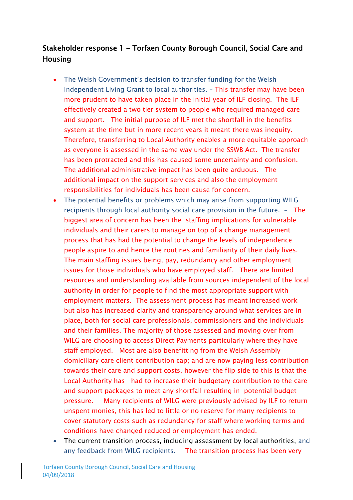# Stakeholder response 1 - Torfaen County Borough Council, Social Care and Housing

- The Welsh Government's decision to transfer funding for the Welsh Independent Living Grant to local authorities. – This transfer may have been more prudent to have taken place in the initial year of ILF closing. The ILF effectively created a two tier system to people who required managed care and support. The initial purpose of ILF met the shortfall in the benefits system at the time but in more recent years it meant there was inequity. Therefore, transferring to Local Authority enables a more equitable approach as everyone is assessed in the same way under the SSWB Act. The transfer has been protracted and this has caused some uncertainty and confusion. The additional administrative impact has been quite arduous. The additional impact on the support services and also the employment responsibilities for individuals has been cause for concern.
- The potential benefits or problems which may arise from supporting WILG recipients through local authority social care provision in the future. – The biggest area of concern has been the staffing implications for vulnerable individuals and their carers to manage on top of a change management process that has had the potential to change the levels of independence people aspire to and hence the routines and familiarity of their daily lives. The main staffing issues being, pay, redundancy and other employment issues for those individuals who have employed staff. There are limited resources and understanding available from sources independent of the local authority in order for people to find the most appropriate support with employment matters. The assessment process has meant increased work but also has increased clarity and transparency around what services are in place, both for social care professionals, commissioners and the individuals and their families. The majority of those assessed and moving over from WILG are choosing to access Direct Payments particularly where they have staff employed. Most are also benefitting from the Welsh Assembly domiciliary care client contribution cap; and are now paying less contribution towards their care and support costs, however the flip side to this is that the Local Authority has had to increase their budgetary contribution to the care and support packages to meet any shortfall resulting in potential budget pressure. Many recipients of WILG were previously advised by ILF to return unspent monies, this has led to little or no reserve for many recipients to cover statutory costs such as redundancy for staff where working terms and conditions have changed reduced or employment has ended.
- The current transition process, including assessment by local authorities, and any feedback from WILG recipients. – The transition process has been very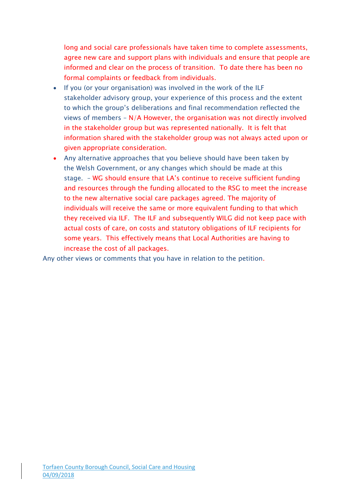long and social care professionals have taken time to complete assessments, agree new care and support plans with individuals and ensure that people are informed and clear on the process of transition. To date there has been no formal complaints or feedback from individuals.

- If you (or your organisation) was involved in the work of the ILF stakeholder advisory group, your experience of this process and the extent to which the group's deliberations and final recommendation reflected the views of members – N/A However, the organisation was not directly involved in the stakeholder group but was represented nationally. It is felt that information shared with the stakeholder group was not always acted upon or given appropriate consideration.
- Any alternative approaches that you believe should have been taken by the Welsh Government, or any changes which should be made at this stage. – WG should ensure that LA's continue to receive sufficient funding and resources through the funding allocated to the RSG to meet the increase to the new alternative social care packages agreed. The majority of individuals will receive the same or more equivalent funding to that which they received via ILF. The ILF and subsequently WILG did not keep pace with actual costs of care, on costs and statutory obligations of ILF recipients for some years. This effectively means that Local Authorities are having to increase the cost of all packages.

Any other views or comments that you have in relation to the petition.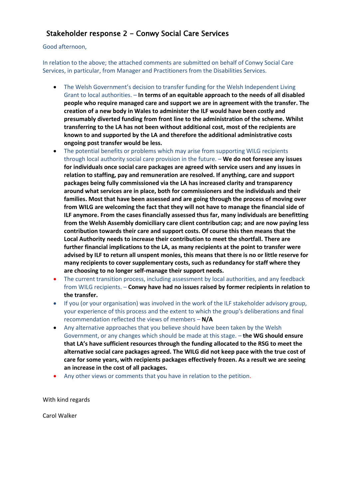### Stakeholder response 2 - Conwy Social Care Services

#### Good afternoon,

In relation to the above; the attached comments are submitted on behalf of Conwy Social Care Services, in particular, from Manager and Practitioners from the Disabilities Services.

- The Welsh Government's decision to transfer funding for the Welsh Independent Living Grant to local authorities. – **In terms of an equitable approach to the needs of all disabled people who require managed care and support we are in agreement with the transfer. The creation of a new body in Wales to administer the ILF would have been costly and presumably diverted funding from front line to the administration of the scheme. Whilst transferring to the LA has not been without additional cost, most of the recipients are known to and supported by the LA and therefore the additional administrative costs ongoing post transfer would be less.**
- The potential benefits or problems which may arise from supporting WILG recipients through local authority social care provision in the future. – **We do not foresee any issues for individuals once social care packages are agreed with service users and any issues in relation to staffing, pay and remuneration are resolved. If anything, care and support packages being fully commissioned via the LA has increased clarity and transparency around what services are in place, both for commissioners and the individuals and their families. Most that have been assessed and are going through the process of moving over from WILG are welcoming the fact that they will not have to manage the financial side of ILF anymore. From the cases financially assessed thus far, many individuals are benefitting from the Welsh Assembly domiciliary care client contribution cap; and are now paying less contribution towards their care and support costs. Of course this then means that the Local Authority needs to increase their contribution to meet the shortfall. There are further financial implications to the LA, as many recipients at the point to transfer were advised by ILF to return all unspent monies, this means that there is no or little reserve for many recipients to cover supplementary costs, such as redundancy for staff where they are choosing to no longer self-manage their support needs.**
- The current transition process, including assessment by local authorities, and any feedback from WILG recipients. – **Conwy have had no issues raised by former recipients in relation to the transfer.**
- If you (or your organisation) was involved in the work of the ILF stakeholder advisory group, your experience of this process and the extent to which the group's deliberations and final recommendation reflected the views of members – **N/A**
- Any alternative approaches that you believe should have been taken by the Welsh Government, or any changes which should be made at this stage. – **the WG should ensure that LA's have sufficient resources through the funding allocated to the RSG to meet the alternative social care packages agreed. The WILG did not keep pace with the true cost of care for some years, with recipients packages effectively frozen. As a result we are seeing an increase in the cost of all packages.**
- Any other views or comments that you have in relation to the petition.

With kind regards

Carol Walker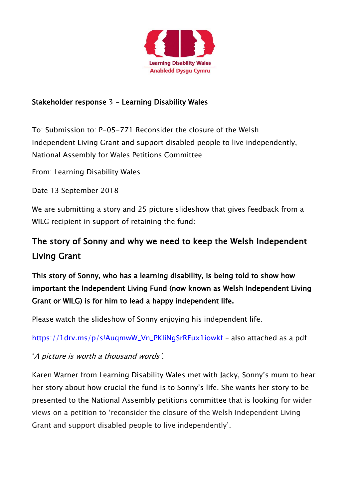

## Stakeholder response 3 - Learning Disability Wales

To: Submission to: P-05-771 Reconsider the closure of the Welsh Independent Living Grant and support disabled people to live independently, National Assembly for Wales Petitions Committee

From: Learning Disability Wales

Date 13 September 2018

We are submitting a story and 25 picture slideshow that gives feedback from a WILG recipient in support of retaining the fund:

# The story of Sonny and why we need to keep the Welsh Independent Living Grant

This story of Sonny, who has a learning disability, is being told to show how important the Independent Living Fund (now known as Welsh Independent Living Grant or WILG) is for him to lead a happy independent life.

Please watch the slideshow of Sonny enjoying his independent life.

https://1drv.ms/p/s!AugmwW\_Vn\_PKliNgSrREux1iowkf - also attached as a pdf

'A picture is worth a thousand words'.

Karen Warner from Learning Disability Wales met with Jacky, Sonny's mum to hear her story about how crucial the fund is to Sonny's life. She wants her story to be presented to the National Assembly petitions committee that is looking for wider views on a petition to 'reconsider the closure of the Welsh Independent Living Grant and support disabled people to live independently'.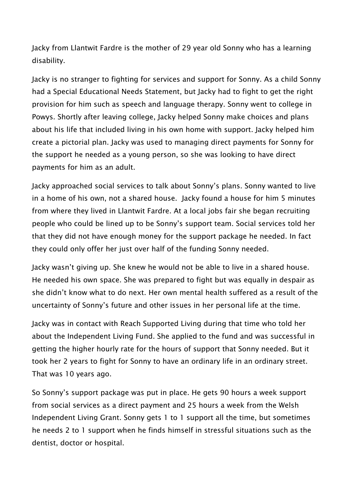Jacky from Llantwit Fardre is the mother of 29 year old Sonny who has a learning disability.

Jacky is no stranger to fighting for services and support for Sonny. As a child Sonny had a Special Educational Needs Statement, but Jacky had to fight to get the right provision for him such as speech and language therapy. Sonny went to college in Powys. Shortly after leaving college, Jacky helped Sonny make choices and plans about his life that included living in his own home with support. Jacky helped him create a pictorial plan. Jacky was used to managing direct payments for Sonny for the support he needed as a young person, so she was looking to have direct payments for him as an adult.

Jacky approached social services to talk about Sonny's plans. Sonny wanted to live in a home of his own, not a shared house. Jacky found a house for him 5 minutes from where they lived in Llantwit Fardre. At a local jobs fair she began recruiting people who could be lined up to be Sonny's support team. Social services told her that they did not have enough money for the support package he needed. In fact they could only offer her just over half of the funding Sonny needed.

Jacky wasn't giving up. She knew he would not be able to live in a shared house. He needed his own space. She was prepared to fight but was equally in despair as she didn't know what to do next. Her own mental health suffered as a result of the uncertainty of Sonny's future and other issues in her personal life at the time.

Jacky was in contact with Reach Supported Living during that time who told her about the Independent Living Fund. She applied to the fund and was successful in getting the higher hourly rate for the hours of support that Sonny needed. But it took her 2 years to fight for Sonny to have an ordinary life in an ordinary street. That was 10 years ago.

So Sonny's support package was put in place. He gets 90 hours a week support from social services as a direct payment and 25 hours a week from the Welsh Independent Living Grant. Sonny gets 1 to 1 support all the time, but sometimes he needs 2 to 1 support when he finds himself in stressful situations such as the dentist, doctor or hospital.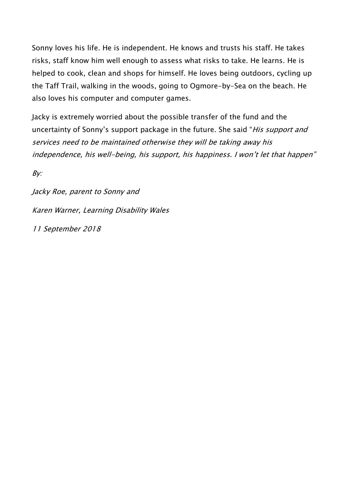Sonny loves his life. He is independent. He knows and trusts his staff. He takes risks, staff know him well enough to assess what risks to take. He learns. He is helped to cook, clean and shops for himself. He loves being outdoors, cycling up the Taff Trail, walking in the woods, going to Ogmore-by-Sea on the beach. He also loves his computer and computer games.

Jacky is extremely worried about the possible transfer of the fund and the uncertainty of Sonny's support package in the future. She said "His support and services need to be maintained otherwise they will be taking away his independence, his well-being, his support, his happiness. I won't let that happen"

 $Bv$ :

Jacky Roe, parent to Sonny and Karen Warner, Learning Disability Wales 11 September 2018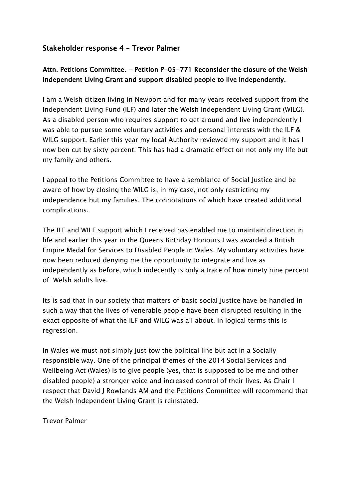### Stakeholder response 4 – Trevor Palmer

### Attn. Petitions Committee. - Petition P-05-771 Reconsider the closure of the Welsh Independent Living Grant and support disabled people to live independently.

I am a Welsh citizen living in Newport and for many years received support from the Independent Living Fund (ILF) and later the Welsh Independent Living Grant (WILG). As a disabled person who requires support to get around and live independently I was able to pursue some voluntary activities and personal interests with the ILF & WILG support. Earlier this year my local Authority reviewed my support and it has I now ben cut by sixty percent. This has had a dramatic effect on not only my life but my family and others.

I appeal to the Petitions Committee to have a semblance of Social Justice and be aware of how by closing the WILG is, in my case, not only restricting my independence but my families. The connotations of which have created additional complications.

The ILF and WILF support which I received has enabled me to maintain direction in life and earlier this year in the Queens Birthday Honours I was awarded a British Empire Medal for Services to Disabled People in Wales. My voluntary activities have now been reduced denying me the opportunity to integrate and live as independently as before, which indecently is only a trace of how ninety nine percent of Welsh adults live.

Its is sad that in our society that matters of basic social justice have be handled in such a way that the lives of venerable people have been disrupted resulting in the exact opposite of what the ILF and WILG was all about. In logical terms this is regression.

In Wales we must not simply just tow the political line but act in a Socially responsible way. One of the principal themes of the 2014 Social Services and Wellbeing Act (Wales) is to give people (yes, that is supposed to be me and other disabled people) a stronger voice and increased control of their lives. As Chair I respect that David J Rowlands AM and the Petitions Committee will recommend that the Welsh Independent Living Grant is reinstated.

Trevor Palmer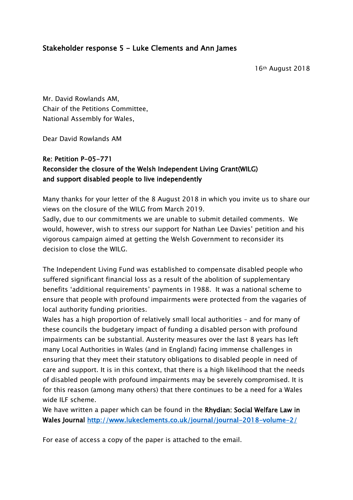Mr. David Rowlands AM, Chair of the Petitions Committee, National Assembly for Wales,

Dear David Rowlands AM

### Re: Petition P-05-771 Reconsider the closure of the Welsh Independent Living Grant(WILG) and support disabled people to live independently

Many thanks for your letter of the 8 August 2018 in which you invite us to share our views on the closure of the WILG from March 2019.

Sadly, due to our commitments we are unable to submit detailed comments. We would, however, wish to stress our support for Nathan Lee Davies' petition and his vigorous campaign aimed at getting the Welsh Government to reconsider its decision to close the WILG.

The Independent Living Fund was established to compensate disabled people who suffered significant financial loss as a result of the abolition of supplementary benefits 'additional requirements' payments in 1988. It was a national scheme to ensure that people with profound impairments were protected from the vagaries of local authority funding priorities.

Wales has a high proportion of relatively small local authorities – and for many of these councils the budgetary impact of funding a disabled person with profound impairments can be substantial. Austerity measures over the last 8 years has left many Local Authorities in Wales (and in England) facing immense challenges in ensuring that they meet their statutory obligations to disabled people in need of care and support. It is in this context, that there is a high likelihood that the needs of disabled people with profound impairments may be severely compromised. It is for this reason (among many others) that there continues to be a need for a Wales wide ILF scheme.

We have written a paper which can be found in the Rhydian: Social Welfare Law in Wales Journal http://www.lukeclements.co.uk/journal/journal-2018-volume-2/

For ease of access a copy of the paper is attached to the email.